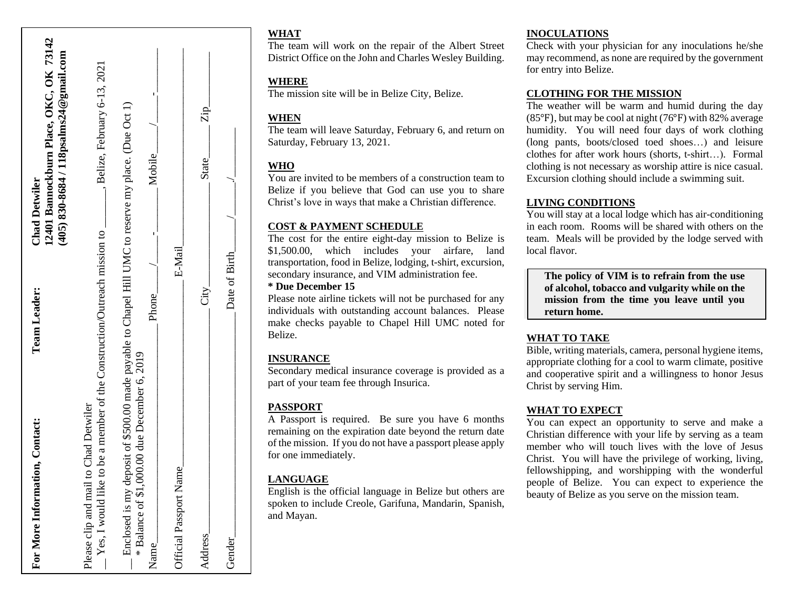| For More Information, Contact:                                                                                                                              | <b>Team Leader:</b> | 12401 Bannockburn Place, OKC, OK 73142<br>(405) 830-8684 / 118psalms24@gmail.com<br><b>Chad Detwiler</b> |
|-------------------------------------------------------------------------------------------------------------------------------------------------------------|---------------------|----------------------------------------------------------------------------------------------------------|
| to be a member of the Construction/Outreach mission to<br>to Chad Detwiler<br>Yes, I would like<br>Please clip and mail                                     |                     | Belize, February 6-13, 2021                                                                              |
| Enclosed is my deposit of \$500.00 made payable to Chapel Hill UMC to reserve my place. (Due Oct 1)<br>* Balance of \$1,000.00 due December 6, 2019<br>Name | Phone               | Mobile                                                                                                   |
| Official Passport Name                                                                                                                                      | E-Mail              |                                                                                                          |
| Address                                                                                                                                                     | City                | Zip_<br><b>State</b>                                                                                     |
| Gender                                                                                                                                                      | Date of Birth       |                                                                                                          |

## **WHAT**

The team will work on the repair of the Albert Street District Office on the John and Charles Wesley Building .

## **WHERE**

The mission site will be in Belize City, Belize.

## **WHEN**

The team will leave Saturday, February 6 , and return on Saturday, February 1 3, 20 2 1 .

## **WHO**

You are invited to be members of a construction team to Belize if you believe that God can use you to share Christ's love in ways that make a Christian difference.

## **COST & PAYMENT SCHEDULE**

The cost for the entire eight -day mission to Belize is \$1 , 5 00.00, which includes your airfare, land transportation, food in Belize, lodging , t -shirt , excursion, secondary insurance, and VIM administration fee.

#### **\* Due December 15**

Please note airline tickets will not be purchased for any individuals with outstanding account balances. Please make checks payable to Chapel Hill UMC noted for Belize .

## **INSURANCE**

Secondary medical insurance coverage is provided as a part of your team fee through Insurica.

## **PASSPORT**

A Passport is required. Be sure you have 6 months remaining on the expiration date beyond the return date of the mission. If you do not have a passport please apply for one immediately.

## **LANGUAGE**

English is the official language in Belize but others are spoken to include Creole, Garifuna, Mandarin, Spanish, and Mayan.

#### **INOCULATIONS**

Check with your physician for any inoculations he/she may recommend, as none are required by the government for entry into Belize.

#### **CLOTHING FOR THE MISSION**

The weather will be warm and humid during the day (85°F), but may be cool at night (76°F ) with 82% average humidity. You will need four days of work clothing (long pants, boots/closed toed shoes…) and leisure clothes for after work hours (shorts, t -shirt…). Formal clothing is not necessary as worship attire is nice casual . Excursion clothing should include a swimming suit.

## **LIVING CONDITIONS**

You will stay at a local lodge which has air -conditioning in each room . Rooms will be shared with others on the team. Meals will be provided by the lodge served with local flavor.

**The policy of VIM is to refrain from the use of alcohol, tobacco and vulgarity while on the mission from the time you leave until you return home.**

#### **WHAT TO TAKE**

Bible, writing materials, camera, personal hygiene items, appropriate clothing for a cool to warm climate, positive and cooperative spirit and a willingness to honor Jesus Christ by serving Him.

#### **WHAT TO EXPECT**

You can expect an opportunity to serve and make a Christian difference with your life by serving as a team member who will touch lives with the love of Jesus Christ. You will have the privilege of working, living, fellowshipping, and worshipping with the wonderful people of Belize. You can expect to experience the beauty of Belize as you serve on the mission team.